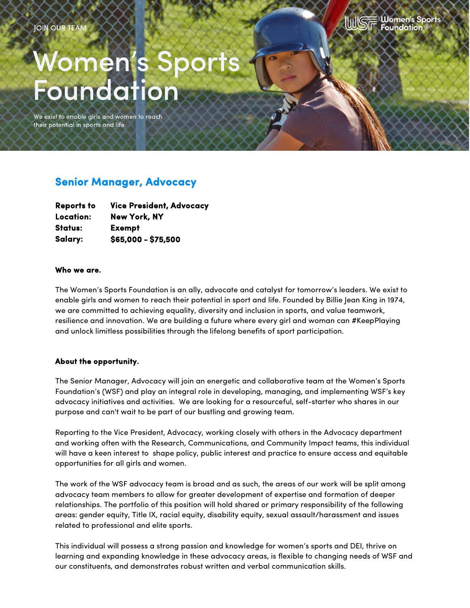

# **Women's Sport**<br>Foundation

We exist to enable girls and women to reach their potential in sports and life.

# **Senior Manager, Advocacy**

| <b>Reports to</b> | <b>Vice President, Advocacy</b> |
|-------------------|---------------------------------|
| Location:         | <b>New York, NY</b>             |
| Status:           | Exempt                          |
| Salary:           | \$65,000 - \$75,500             |

#### **Who we are.**

The Women's Sports Foundation is an ally, advocate and catalyst for tomorrow's leaders. We exist to enable girls and women to reach their potential in sport and life. Founded by Billie Jean King in 1974, we are committed to achieving equality, diversity and inclusion in sports, and value teamwork, resilience and innovation. We are building a future where every girl and woman can #KeepPlaying and unlock limitless possibilities through the lifelong benefits of sport participation.

#### **About the opportunity.**

The Senior Manager, Advocacy will join an energetic and collaborative team at the Women's Sports Foundation's (WSF) and play an integral role in developing, managing, and implementing WSF's key advocacy initiatives and activities. We are looking for a resourceful, self-starter who shares in our purpose and can't wait to be part of our bustling and growing team.

Reporting to the Vice President, Advocacy, working closely with others in the Advocacy department and working often with the Research, Communications, and Community Impact teams, this individual will have a keen interest to shape policy, public interest and practice to ensure access and equitable opportunities for all girls and women.

The work of the WSF advocacy team is broad and as such, the areas of our work will be split among advocacy team members to allow for greater development of expertise and formation of deeper relationships. The portfolio of this position will hold shared or primary responsibility of the following areas: gender equity, Title IX, racial equity, disability equity, sexual assault/harassment and issues related to professional and elite sports.

This individual will possess a strong passion and knowledge for women's sports and DEI, thrive on learning and expanding knowledge in these advocacy areas, is flexible to changing needs of WSF and our constituents, and demonstrates robust written and verbal communication skills.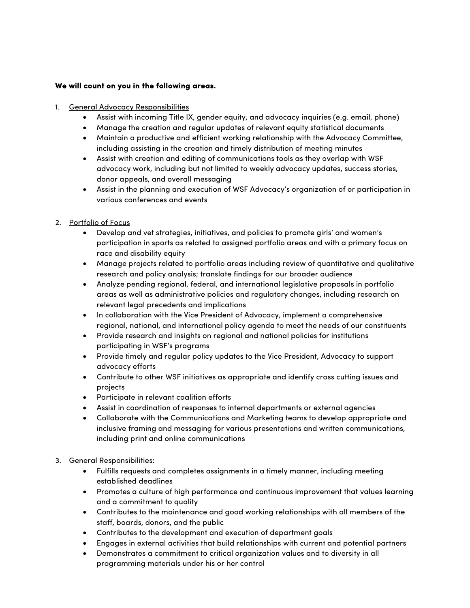## **We will count on you in the following areas.**

- 1. General Advocacy Responsibilities
	- Assist with incoming Title IX, gender equity, and advocacy inquiries (e.g. email, phone)
	- Manage the creation and regular updates of relevant equity statistical documents
	- Maintain a productive and efficient working relationship with the Advocacy Committee, including assisting in the creation and timely distribution of meeting minutes
	- Assist with creation and editing of communications tools as they overlap with WSF advocacy work, including but not limited to weekly advocacy updates, success stories, donor appeals, and overall messaging
	- Assist in the planning and execution of WSF Advocacy's organization of or participation in various conferences and events
- 2. Portfolio of Focus
	- Develop and vet strategies, initiatives, and policies to promote girls' and women's participation in sports as related to assigned portfolio areas and with a primary focus on race and disability equity
	- Manage projects related to portfolio areas including review of quantitative and qualitative research and policy analysis; translate findings for our broader audience
	- Analyze pending regional, federal, and international legislative proposals in portfolio areas as well as administrative policies and regulatory changes, including research on relevant legal precedents and implications
	- In collaboration with the Vice President of Advocacy, implement a comprehensive regional, national, and international policy agenda to meet the needs of our constituents
	- Provide research and insights on regional and national policies for institutions participating in WSF's programs
	- Provide timely and regular policy updates to the Vice President, Advocacy to support advocacy efforts
	- Contribute to other WSF initiatives as appropriate and identify cross cutting issues and projects
	- Participate in relevant coalition efforts
	- Assist in coordination of responses to internal departments or external agencies
	- Collaborate with the Communications and Marketing teams to develop appropriate and inclusive framing and messaging for various presentations and written communications, including print and online communications
- 3. General Responsibilities:
	- Fulfills requests and completes assignments in a timely manner, including meeting established deadlines
	- Promotes a culture of high performance and continuous improvement that values learning and a commitment to quality
	- Contributes to the maintenance and good working relationships with all members of the staff, boards, donors, and the public
	- Contributes to the development and execution of department goals
	- Engages in external activities that build relationships with current and potential partners
	- Demonstrates a commitment to critical organization values and to diversity in all programming materials under his or her control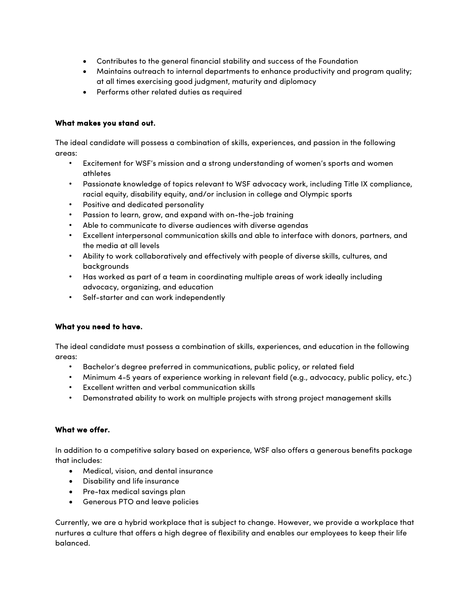- Contributes to the general financial stability and success of the Foundation
- Maintains outreach to internal departments to enhance productivity and program quality; at all times exercising good judgment, maturity and diplomacy
- Performs other related duties as required

### **What makes you stand out.**

The ideal candidate will possess a combination of skills, experiences, and passion in the following areas:

- Excitement for WSF's mission and a strong understanding of women's sports and women athletes
- Passionate knowledge of topics relevant to WSF advocacy work, including Title IX compliance, racial equity, disability equity, and/or inclusion in college and Olympic sports
- Positive and dedicated personality
- Passion to learn, grow, and expand with on-the-job training
- Able to communicate to diverse audiences with diverse agendas
- Excellent interpersonal communication skills and able to interface with donors, partners, and the media at all levels
- Ability to work collaboratively and effectively with people of diverse skills, cultures, and backgrounds
- Has worked as part of a team in coordinating multiple areas of work ideally including advocacy, organizing, and education
- Self-starter and can work independently

#### **What you need to have.**

The ideal candidate must possess a combination of skills, experiences, and education in the following areas:

- Bachelor's degree preferred in communications, public policy, or related field
- Minimum 4-5 years of experience working in relevant field (e.g., advocacy, public policy, etc.)
- Excellent written and verbal communication skills
- Demonstrated ability to work on multiple projects with strong project management skills

#### **What we offer.**

In addition to a competitive salary based on experience, WSF also offers a generous benefits package that includes:

- Medical, vision, and dental insurance
- Disability and life insurance
- Pre-tax medical savings plan
- Generous PTO and leave policies

Currently, we are a hybrid workplace that is subject to change. However, we provide a workplace that nurtures a culture that offers a high degree of flexibility and enables our employees to keep their life balanced.